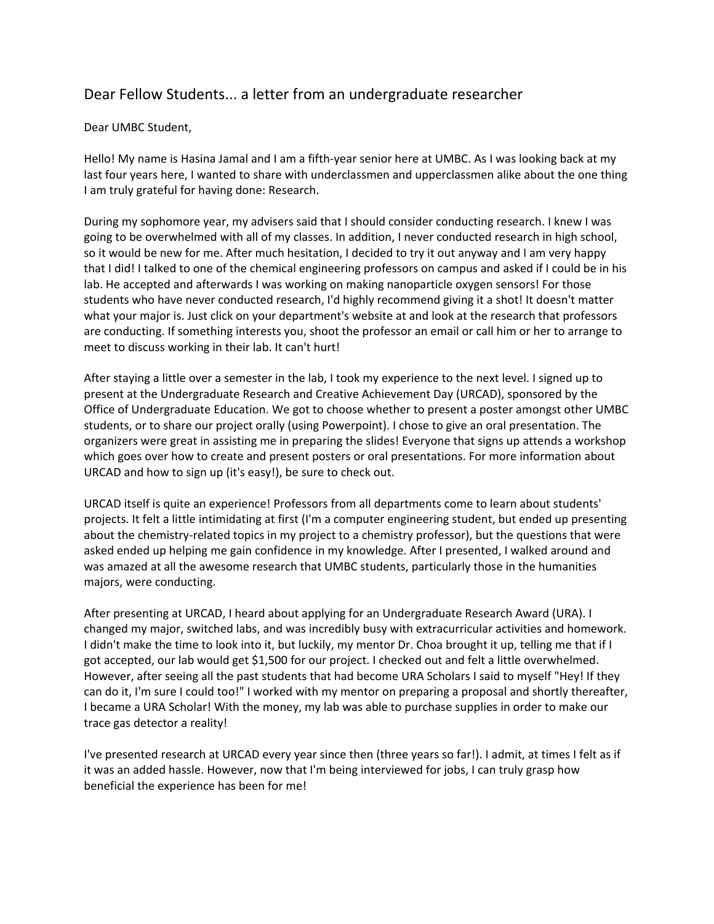## Dear Fellow Students... a letter from an undergraduate researcher

## Dear UMBC Student,

Hello! My name is Hasina Jamal and I am a fifth-year senior here at UMBC. As I was looking back at my last four years here, I wanted to share with underclassmen and upperclassmen alike about the one thing I am truly grateful for having done: Research.

During my sophomore year, my advisers said that I should consider conducting research. I knew I was going to be overwhelmed with all of my classes. In addition, I never conducted research in high school, so it would be new for me. After much hesitation, I decided to try it out anyway and I am very happy that I did! I talked to one of the chemical engineering professors on campus and asked if I could be in his lab. He accepted and afterwards I was working on making nanoparticle oxygen sensors! For those students who have never conducted research, I'd highly recommend giving it a shot! It doesn't matter what your major is. Just click on your department's website at and look at the research that professors are conducting. If something interests you, shoot the professor an email or call him or her to arrange to meet to discuss working in their lab. It can't hurt!

After staying a little over a semester in the lab, I took my experience to the next level. I signed up to present at the Undergraduate Research and Creative Achievement Day (URCAD), sponsored by the Office of Undergraduate Education. We got to choose whether to present a poster amongst other UMBC students, or to share our project orally (using Powerpoint). I chose to give an oral presentation. The organizers were great in assisting me in preparing the slides! Everyone that signs up attends a workshop which goes over how to create and present posters or oral presentations. For more information about URCAD and how to sign up (it's easy!), be sure to check out.

URCAD itself is quite an experience! Professors from all departments come to learn about students' projects. It felt a little intimidating at first (I'm a computer engineering student, but ended up presenting about the chemistry-related topics in my project to a chemistry professor), but the questions that were asked ended up helping me gain confidence in my knowledge. After I presented, I walked around and was amazed at all the awesome research that UMBC students, particularly those in the humanities majors, were conducting.

After presenting at URCAD, I heard about applying for an Undergraduate Research Award (URA). I changed my major, switched labs, and was incredibly busy with extracurricular activities and homework. I didn't make the time to look into it, but luckily, my mentor Dr. Choa brought it up, telling me that if I got accepted, our lab would get \$1,500 for our project. I checked out and felt a little overwhelmed. However, after seeing all the past students that had become URA Scholars I said to myself "Hey! If they can do it, I'm sure I could too!" I worked with my mentor on preparing a proposal and shortly thereafter, I became a URA Scholar! With the money, my lab was able to purchase supplies in order to make our trace gas detector a reality!

I've presented research at URCAD every year since then (three years so far!). I admit, at times I felt as if it was an added hassle. However, now that I'm being interviewed for jobs, I can truly grasp how beneficial the experience has been for me!